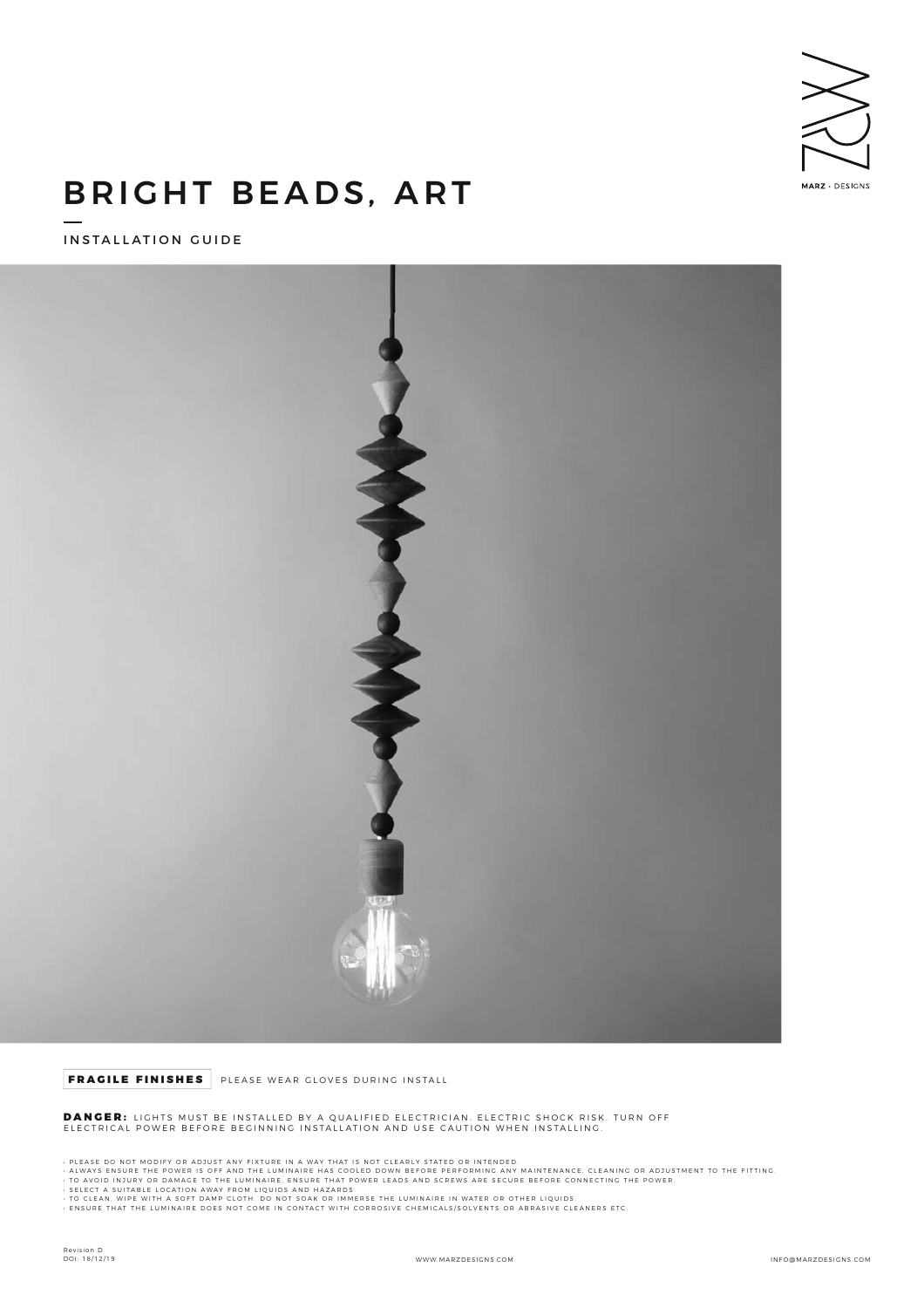

## BRIGHT BEADS, ART

INSTALLATION GUIDE



### FRAGILE FINISHES PLEASE WEAR GLOVES DURING INSTALL

**DANGER:** LIGHTS MUST BE INSTALLED BY A QUALIFIED ELECTRICIAN. ELECTRIC SHOCK RISK. TURN OFF<br>ELECTRICAL POWER BEFORE BEGINNING INSTALLATION AND USE CAUTION WHEN INSTALLING.

- PLEASE DO NOT MODIFY OR ADJUST ANY FIXTURE IN A WAY THAT IS NOT CLEARLY STATED OR INTENDED.<br>- ALWAYS ENSURE THE POWER IS OFF AND THE LUMINAIRE HAS COOLED DOWN BEFORE PERFORMING ANY MAINTENANCE, CLEANING OR ADJUSTMENT TO
- 
- 
-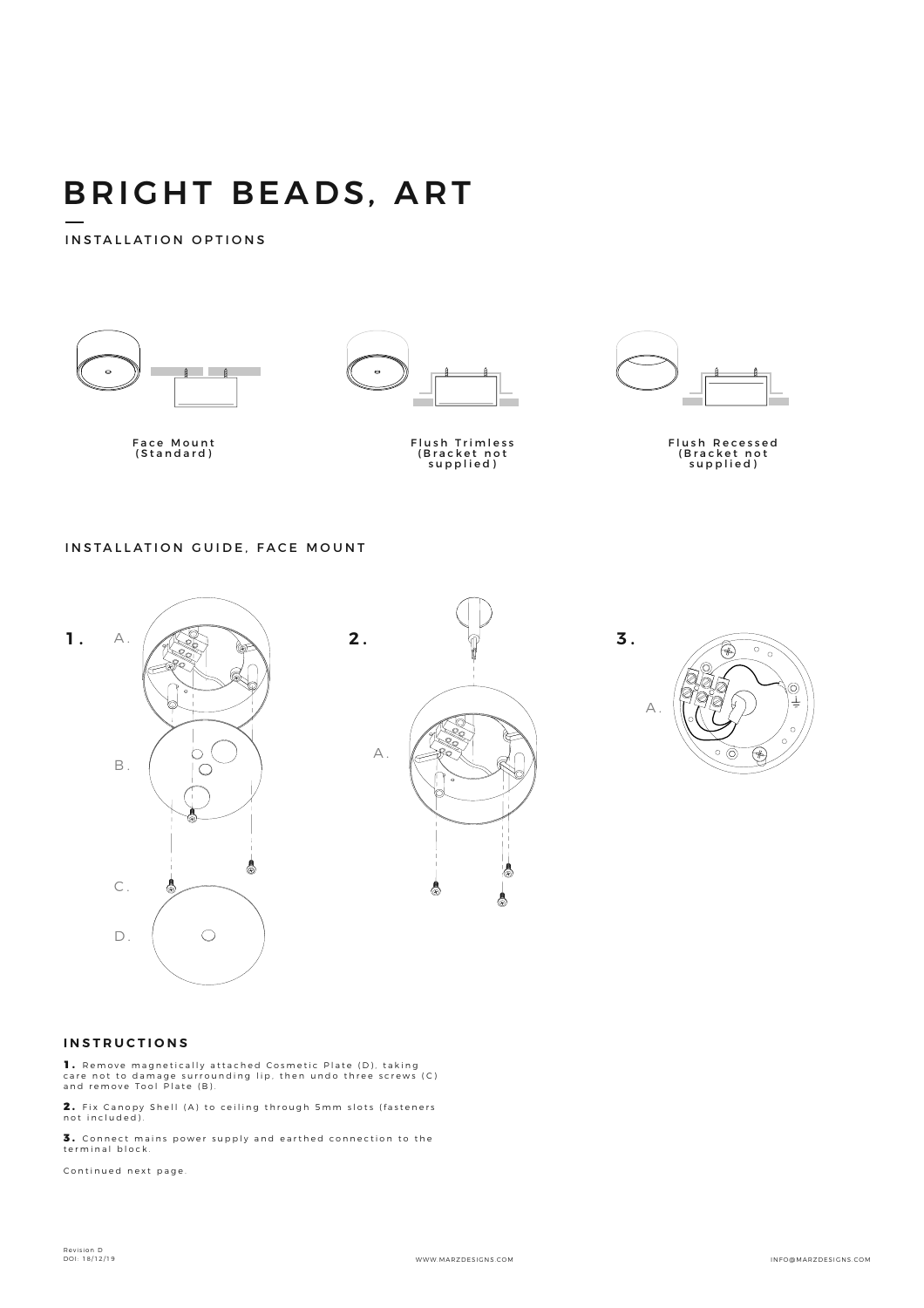## BRIGHT BEADS, ART

INSTALLATION OPTIONS



#### INSTALLATION GUIDE, FACE MOUNT





#### **INSTRUCTIONS**

1. Remove magnetically attached Cosmetic Plate (D), taking<br>care not to damage surrounding lip, then undo three screws (C)<br>and remove Tool Plate (B).

2. Fix Canopy Shell (A) to ceiling through 5mm slots (fasteners not included).

3. Connect mains power supply and earthed connection to the<br>terminal block.

Continued next page.